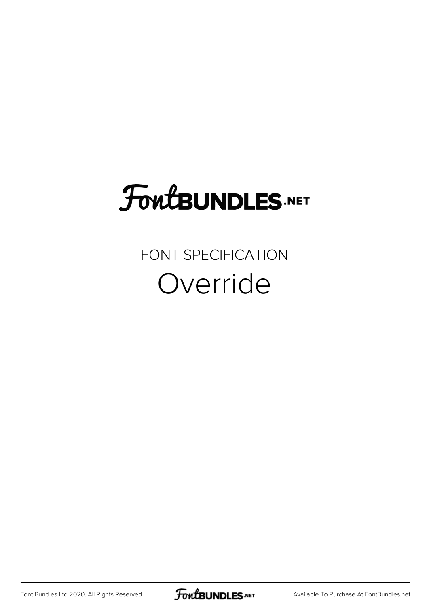## **FoutBUNDLES.NET**

## FONT SPECIFICATION Override

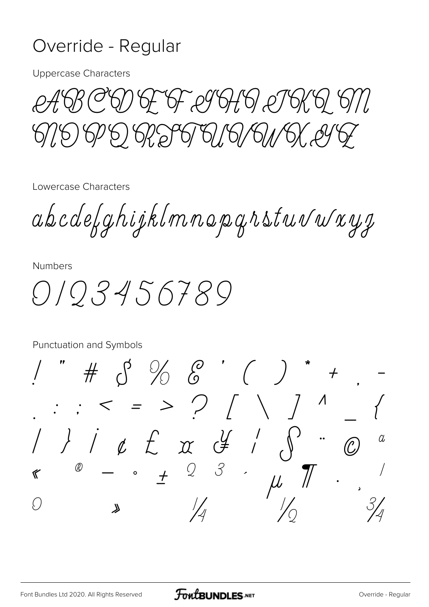## Override - Regular

**Uppercase Characters** 

T &F &F @964,61 @T6K, 6/16/6/6/16/1

Lowercase Characters

abcdefghijklmnopgrstuvwxyg

**Numbers** 

0103456789

Punctuation and Symbols  $\#$   $\circled{5}$  %  $\circled{6}$  ' ( ) \*  $\rightarrow$  $\therefore$  < = > ? / \ /  $\overline{\Lambda}$  $1/x \not\in x y'$  $\alpha$  $\bigcirc$  $3$  $\pm$  2  $^\text{\textregistered}$  $\mu$  $\mathscr C$  $\bullet$  $\left(\begin{array}{c} 1 \\ 1 \end{array}\right)$  $\lambda$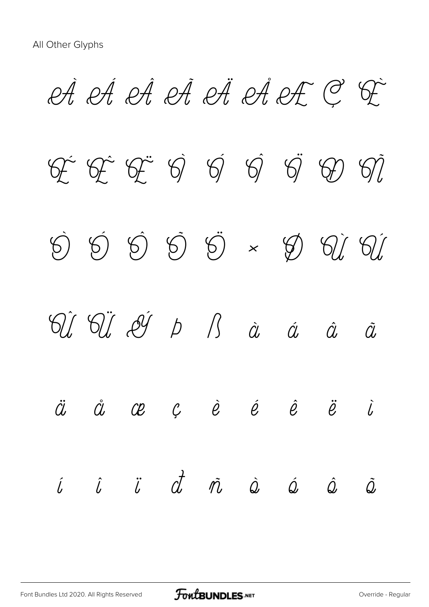A A A A A A A A C G  $G \rightarrow \mathbb{G}$   $G \rightarrow \mathbb{G}$   $G \rightarrow \mathbb{G}$   $G \rightarrow \mathbb{G}$ Ò Ó Ô Õ Ö × Ø Ù Ú Û Ü Ý Þ ß à á â ã  $\ddot{a}$   $\dot{a}$   $\alpha$   $c$   $\dot{e}$   $\dot{e}$   $\ddot{e}$   $\ddot{e}$   $\ddot{c}$ í î ï ð ñ ò ó ô õ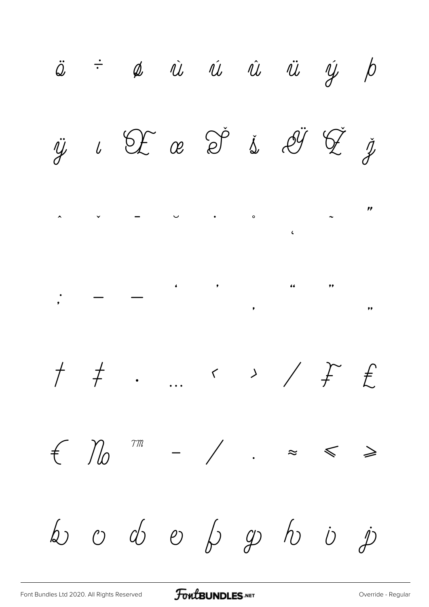$\ddot{\omega}$   $\div$   $\phi$   $\dot{u}$   $\dot{u}$   $\dot{u}$   $\ddot{u}$   $\dot{y}$   $\dot{p}$  $2E$  a  $2^{\circ}$  i  $2^{\circ}$   $2^{\circ}$  $\check{\mathscr{I}}$  $\ddot{y}$  $\iota$  $\boldsymbol{\prime}$  $\ddot{\phantom{1}}$  $\bullet$  0  $\overline{\mathbf{C}}$  $\begin{array}{ccc} \cdots & \leftarrow & \rightarrow & \diagup & \updownarrow & \updownarrow \end{array}$  $\begin{array}{cc} \uparrow & \neq \end{array}$  $-$  /  $f$   $\mathcal{V}_0$  $\mathcal{T}\mathcal{M}$  $\approx$  $\geqslant$  $\leqslant$  $\omega$   $\omega$   $\phi$   $\omega$   $\beta$   $\omega$   $\omega$   $\dot{\omega}$  $\dot{\mathcal{P}}$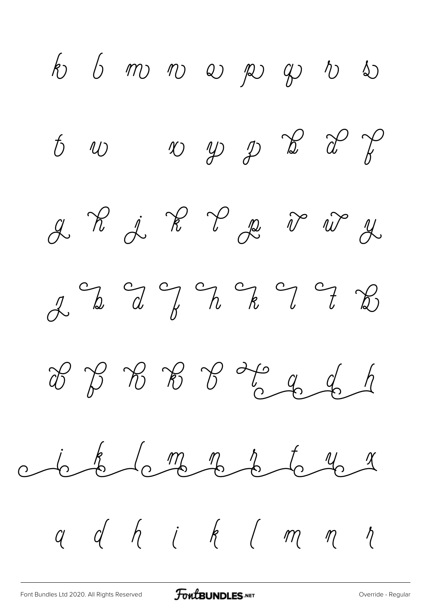$k$  6 m n e p y i  $\begin{array}{ccc} t & w & w & y & \frac{\sqrt{3}}{2} & \frac{\sqrt{3}}{2} & \frac{\sqrt{3}}{2} & \frac{\sqrt{3}}{2} & \frac{\sqrt{3}}{2} & \frac{\sqrt{3}}{2} & \frac{\sqrt{3}}{2} & \frac{\sqrt{3}}{2} & \frac{\sqrt{3}}{2} & \frac{\sqrt{3}}{2} & \frac{\sqrt{3}}{2} & \frac{\sqrt{3}}{2} & \frac{\sqrt{3}}{2} & \frac{\sqrt{3}}{2} & \frac{\sqrt{3}}{2} & \frac{\sqrt{3}}{2} & \frac{\sqrt{3}}{2} & \frac{\sqrt{3}}{2} & \frac{\sqrt{3}}$ 2 R j R P p V w y  $22227$  $x\rightarrow y\rightarrow z\rightarrow z\rightarrow z$ contacto me no to you q d h i k (m m  $\eta$